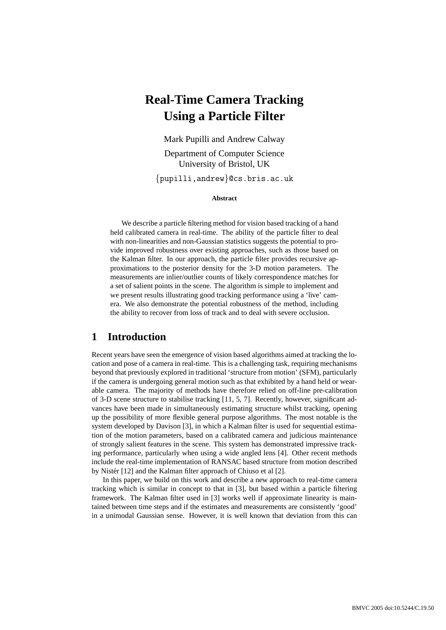# **Real-Time Camera Tracking Using a Particle Filter**

Mark Pupilli and Andrew Calway

Department of Computer Science University of Bristol, UK

{pupilli,andrew}@cs.bris.ac.uk

**Abstract**

We describe a particle filtering method for vision based tracking of a hand held calibrated camera in real-time. The ability of the particle filter to deal with non-linearities and non-Gaussian statistics suggests the potential to provide improved robustness over existing approaches, such as those based on the Kalman filter. In our approach, the particle filter provides recursive approximations to the posterior density for the 3-D motion parameters. The measurements are inlier/outlier counts of likely correspondence matches for a set of salient points in the scene. The algorithm is simple to implement and we present results illustrating good tracking performance using a 'live' camera. We also demonstrate the potential robustness of the method, including the ability to recover from loss of track and to deal with severe occlusion.

#### **1 Introduction**

Recent years have seen the emergence of vision based algorithms aimed at tracking the location and pose of a camera in real-time. This is a challenging task, requiring mechanisms beyond that previously explored in traditional 'structure from motion' (SFM), particularly if the camera is undergoing general motion such as that exhibited by a hand held or wearable camera. The majority of methods have therefore relied on off-line pre-calibration of 3-D scene structure to stabilise tracking [11, 5, 7]. Recently, however, significant advances have been made in simultaneously estimating structure whilst tracking, opening up the possibility of more flexible general purpose algorithms. The most notable is the system developed by Davison [3], in which a Kalman filter is used for sequential estimation of the motion parameters, based on a calibrated camera and judicious maintenance of strongly salient features in the scene. This system has demonstrated impressive tracking performance, particularly when using a wide angled lens [4]. Other recent methods include the real-time implementation of RANSAC based structure from motion described by Nistér [12] and the Kalman filter approach of Chiuso et al [2].

In this paper, we build on this work and describe a new approach to real-time camera tracking which is similar in concept to that in [3], but based within a particle filtering framework. The Kalman filter used in [3] works well if approximate linearity is maintained between time steps and if the estimates and measurements are consistently 'good' in a unimodal Gaussian sense. However, it is well known that deviation from this can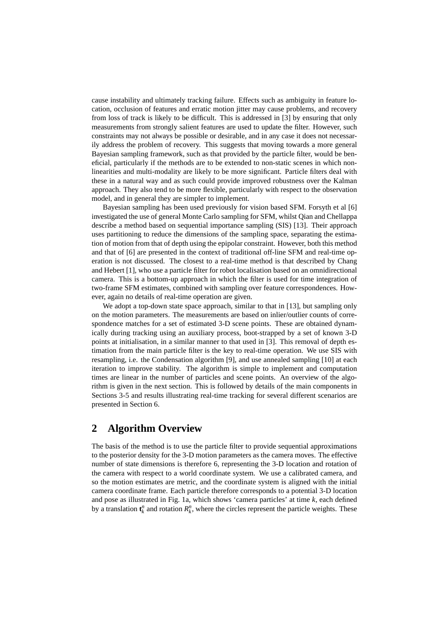cause instability and ultimately tracking failure. Effects such as ambiguity in feature location, occlusion of features and erratic motion jitter may cause problems, and recovery from loss of track is likely to be difficult. This is addressed in [3] by ensuring that only measurements from strongly salient features are used to update the filter. However, such constraints may not always be possible or desirable, and in any case it does not necessarily address the problem of recovery. This suggests that moving towards a more general Bayesian sampling framework, such as that provided by the particle filter, would be beneficial, particularly if the methods are to be extended to non-static scenes in which nonlinearities and multi-modality are likely to be more significant. Particle filters deal with these in a natural way and as such could provide improved robustness over the Kalman approach. They also tend to be more flexible, particularly with respect to the observation model, and in general they are simpler to implement.

Bayesian sampling has been used previously for vision based SFM. Forsyth et al [6] investigated the use of general Monte Carlo sampling for SFM, whilst Qian and Chellappa describe a method based on sequential importance sampling (SIS) [13]. Their approach uses partitioning to reduce the dimensions of the sampling space, separating the estimation of motion from that of depth using the epipolar constraint. However, both this method and that of [6] are presented in the context of traditional off-line SFM and real-time operation is not discussed. The closest to a real-time method is that described by Chang and Hebert [1], who use a particle filter for robot localisation based on an omnidirectional camera. This is a bottom-up approach in which the filter is used for time integration of two-frame SFM estimates, combined with sampling over feature correspondences. However, again no details of real-time operation are given.

We adopt a top-down state space approach, similar to that in [13], but sampling only on the motion parameters. The measurements are based on inlier/outlier counts of correspondence matches for a set of estimated 3-D scene points. These are obtained dynamically during tracking using an auxiliary process, boot-strapped by a set of known 3-D points at initialisation, in a similar manner to that used in [3]. This removal of depth estimation from the main particle filter is the key to real-time operation. We use SIS with resampling, i.e. the Condensation algorithm [9], and use annealed sampling [10] at each iteration to improve stability. The algorithm is simple to implement and computation times are linear in the number of particles and scene points. An overview of the algorithm is given in the next section. This is followed by details of the main components in Sections 3-5 and results illustrating real-time tracking for several different scenarios are presented in Section 6.

## **2 Algorithm Overview**

The basis of the method is to use the particle filter to provide sequential approximations to the posterior density for the 3-D motion parameters as the camera moves. The effective number of state dimensions is therefore 6, representing the 3-D location and rotation of the camera with respect to a world coordinate system. We use a calibrated camera, and so the motion estimates are metric, and the coordinate system is aligned with the initial camera coordinate frame. Each particle therefore corresponds to a potential 3-D location and pose as illustrated in Fig. 1a, which shows 'camera particles' at time *k*, each defined by a translation  $t_k^n$  and rotation  $R_k^n$ , where the circles represent the particle weights. These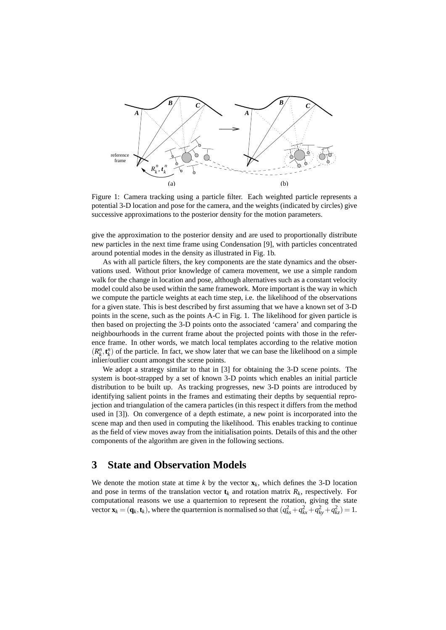

Figure 1: Camera tracking using a particle filter. Each weighted particle represents a potential 3-D location and pose for the camera, and the weights (indicated by circles) give successive approximations to the posterior density for the motion parameters.

give the approximation to the posterior density and are used to proportionally distribute new particles in the next time frame using Condensation [9], with particles concentrated around potential modes in the density as illustrated in Fig. 1b.

As with all particle filters, the key components are the state dynamics and the observations used. Without prior knowledge of camera movement, we use a simple random walk for the change in location and pose, although alternatives such as a constant velocity model could also be used within the same framework. More important is the way in which we compute the particle weights at each time step, i.e. the likelihood of the observations for a given state. This is best described by first assuming that we have a known set of 3-D points in the scene, such as the points A-C in Fig. 1. The likelihood for given particle is then based on projecting the 3-D points onto the associated 'camera' and comparing the neighbourhoods in the current frame about the projected points with those in the reference frame. In other words, we match local templates according to the relative motion  $(R_k^n, t_k^n)$  of the particle. In fact, we show later that we can base the likelihood on a simple inlier/outlier count amongst the scene points.

We adopt a strategy similar to that in [3] for obtaining the 3-D scene points. The system is boot-strapped by a set of known 3-D points which enables an initial particle distribution to be built up. As tracking progresses, new 3-D points are introduced by identifying salient points in the frames and estimating their depths by sequential reprojection and triangulation of the camera particles (in this respect it differs from the method used in [3]). On convergence of a depth estimate, a new point is incorporated into the scene map and then used in computing the likelihood. This enables tracking to continue as the field of view moves away from the initialisation points. Details of this and the other components of the algorithm are given in the following sections.

#### **3 State and Observation Models**

We denote the motion state at time  $k$  by the vector  $\mathbf{x}_k$ , which defines the 3-D location and pose in terms of the translation vector  $t_k$  and rotation matrix  $R_k$ , respectively. For computational reasons we use a quarternion to represent the rotation, giving the state vector  $\mathbf{x}_k = (\mathbf{q}_k, \mathbf{t}_k)$ , where the quarternion is normalised so that  $(q_{ks}^2 + q_{ks}^2 + q_{ky}^2 + q_{kz}^2) = 1$ .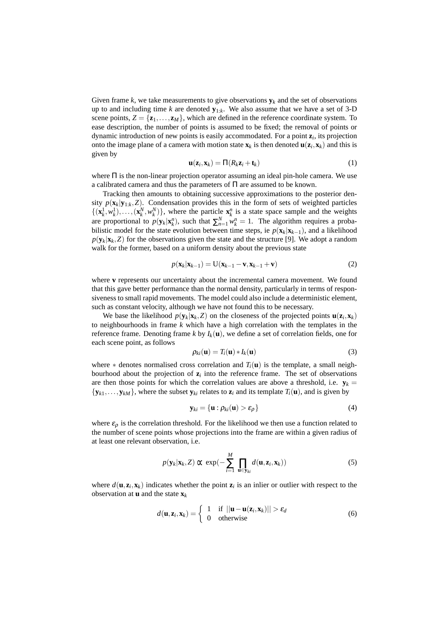Given frame *k*, we take measurements to give observations  $\mathbf{y}_k$  and the set of observations up to and including time *k* are denoted **y**1:*<sup>k</sup>* . We also assume that we have a set of 3-D scene points,  $Z = {\mathbf{z}_1, ..., \mathbf{z}_M}$ , which are defined in the reference coordinate system. To ease description, the number of points is assumed to be fixed; the removal of points or dynamic introduction of new points is easily accommodated. For a point **z***<sup>i</sup>* , its projection onto the image plane of a camera with motion state  $\mathbf{x}_k$  is then denoted  $\mathbf{u}(\mathbf{z}_i, \mathbf{x}_k)$  and this is given by

$$
\mathbf{u}(\mathbf{z}_i, \mathbf{x}_k) = \Pi(R_k \mathbf{z}_i + \mathbf{t}_k)
$$
 (1)

where  $\Pi$  is the non-linear projection operator assuming an ideal pin-hole camera. We use a calibrated camera and thus the parameters of Π are assumed to be known.

Tracking then amounts to obtaining successive approximations to the posterior density  $p(\mathbf{x}_k | \mathbf{y}_{1:k}, Z)$ . Condensation provides this in the form of sets of weighted particles  $\{(\mathbf{x}_k^1, w_k^1), \ldots, (\mathbf{x}_k^N, w_k^N)\}\$ , where the particle  $\mathbf{x}_k^n$  is a state space sample and the weights are proportional to  $p(\mathbf{y}_k|\mathbf{x}_k^n)$ , such that  $\sum_{n=1}^N w_k^n = 1$ . The algorithm requires a probabilistic model for the state evolution between time steps, ie  $p(\mathbf{x}_k|\mathbf{x}_{k-1})$ , and a likelihood  $p(\mathbf{y}_k|\mathbf{x}_k, Z)$  for the observations given the state and the structure [9]. We adopt a random walk for the former, based on a uniform density about the previous state

$$
p(\mathbf{x}_k|\mathbf{x}_{k-1}) = U(\mathbf{x}_{k-1} - \mathbf{v}, \mathbf{x}_{k-1} + \mathbf{v})
$$
\n(2)

where **v** represents our uncertainty about the incremental camera movement. We found that this gave better performance than the normal density, particularly in terms of responsiveness to small rapid movements. The model could also include a deterministic element, such as constant velocity, although we have not found this to be necessary.

We base the likelihood  $p(\mathbf{y}_k|\mathbf{x}_k, Z)$  on the closeness of the projected points  $\mathbf{u}(\mathbf{z}_i, \mathbf{x}_k)$ to neighbourhoods in frame *k* which have a high correlation with the templates in the reference frame. Denoting frame *k* by  $I_k(\mathbf{u})$ , we define a set of correlation fields, one for each scene point, as follows

$$
\rho_{ki}(\mathbf{u}) = T_i(\mathbf{u}) * I_k(\mathbf{u})
$$
\n(3)

where  $*$  denotes normalised cross correlation and  $T_i(\mathbf{u})$  is the template, a small neighbourhood about the projection of  $z_i$  into the reference frame. The set of observations are then those points for which the correlation values are above a threshold, i.e.  $y_k =$  ${\bf y}_{k1}, \ldots, {\bf y}_{kM}$ , where the subset  ${\bf y}_{ki}$  relates to  ${\bf z}_i$  and its template  $T_i({\bf u})$ , and is given by

$$
\mathbf{y}_{ki} = {\mathbf{u} : \rho_{ki}(\mathbf{u}) > \varepsilon_{\rho}}
$$
 (4)

where  $\varepsilon_0$  is the correlation threshold. For the likelihood we then use a function related to the number of scene points whose projections into the frame are within a given radius of at least one relevant observation, i.e.

$$
p(\mathbf{y}_k|\mathbf{x}_k,Z)\propto \exp(-\sum_{i=1}^M \prod_{\mathbf{u}\in\mathbf{y}_{ki}}d(\mathbf{u},\mathbf{z}_i,\mathbf{x}_k))
$$
(5)

where  $d(\mathbf{u}, \mathbf{z}_i, \mathbf{x}_k)$  indicates whether the point  $\mathbf{z}_i$  is an inlier or outlier with respect to the observation at **u** and the state  $\mathbf{x}_k$ 

$$
d(\mathbf{u}, \mathbf{z}_i, \mathbf{x}_k) = \begin{cases} 1 & \text{if } ||\mathbf{u} - \mathbf{u}(\mathbf{z}_i, \mathbf{x}_k)|| > \varepsilon_d \\ 0 & \text{otherwise} \end{cases}
$$
(6)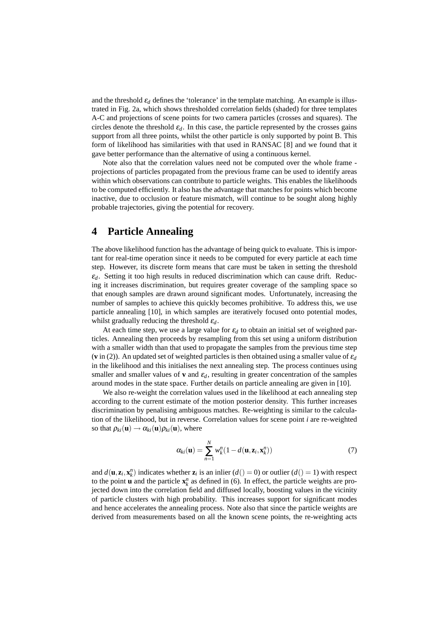and the threshold  $\varepsilon_d$  defines the 'tolerance' in the template matching. An example is illustrated in Fig. 2a, which shows thresholded correlation fields (shaded) for three templates A-C and projections of scene points for two camera particles (crosses and squares). The circles denote the threshold  $\varepsilon_d$ . In this case, the particle represented by the crosses gains support from all three points, whilst the other particle is only supported by point B. This form of likelihood has similarities with that used in RANSAC [8] and we found that it gave better performance than the alternative of using a continuous kernel.

Note also that the correlation values need not be computed over the whole frame projections of particles propagated from the previous frame can be used to identify areas within which observations can contribute to particle weights. This enables the likelihoods to be computed efficiently. It also has the advantage that matches for points which become inactive, due to occlusion or feature mismatch, will continue to be sought along highly probable trajectories, giving the potential for recovery.

### **4 Particle Annealing**

The above likelihood function has the advantage of being quick to evaluate. This is important for real-time operation since it needs to be computed for every particle at each time step. However, its discrete form means that care must be taken in setting the threshold  $\varepsilon_d$ . Setting it too high results in reduced discrimination which can cause drift. Reducing it increases discrimination, but requires greater coverage of the sampling space so that enough samples are drawn around significant modes. Unfortunately, increasing the number of samples to achieve this quickly becomes prohibitive. To address this, we use particle annealing [10], in which samples are iteratively focused onto potential modes, whilst gradually reducing the threshold ε*d*.

At each time step, we use a large value for  $\varepsilon_d$  to obtain an initial set of weighted particles. Annealing then proceeds by resampling from this set using a uniform distribution with a smaller width than that used to propagate the samples from the previous time step (**v** in (2)). An updated set of weighted particles is then obtained using a smaller value of  $\varepsilon_d$ in the likelihood and this initialises the next annealing step. The process continues using smaller and smaller values of **v** and  $\varepsilon_d$ , resulting in greater concentration of the samples around modes in the state space. Further details on particle annealing are given in [10].

We also re-weight the correlation values used in the likelihood at each annealing step according to the current estimate of the motion posterior density. This further increases discrimination by penalising ambiguous matches. Re-weighting is similar to the calculation of the likelihood, but in reverse. Correlation values for scene point *i* are re-weighted so that  $\rho_{ki}(\mathbf{u}) \rightarrow \alpha_{ki}(\mathbf{u}) \rho_{ki}(\mathbf{u})$ , where

$$
\alpha_{ki}(\mathbf{u}) = \sum_{n=1}^{N} w_k^n (1 - d(\mathbf{u}, \mathbf{z}_i, \mathbf{x}_k^n))
$$
\n(7)

and  $d(\mathbf{u}, \mathbf{z}_i, \mathbf{x}_k^n)$  indicates whether  $\mathbf{z}_i$  is an inlier  $(d() = 0)$  or outlier  $(d() = 1)$  with respect to the point **u** and the particle  $\mathbf{x}_k^n$  as defined in (6). In effect, the particle weights are projected down into the correlation field and diffused locally, boosting values in the vicinity of particle clusters with high probability. This increases support for significant modes and hence accelerates the annealing process. Note also that since the particle weights are derived from measurements based on all the known scene points, the re-weighting acts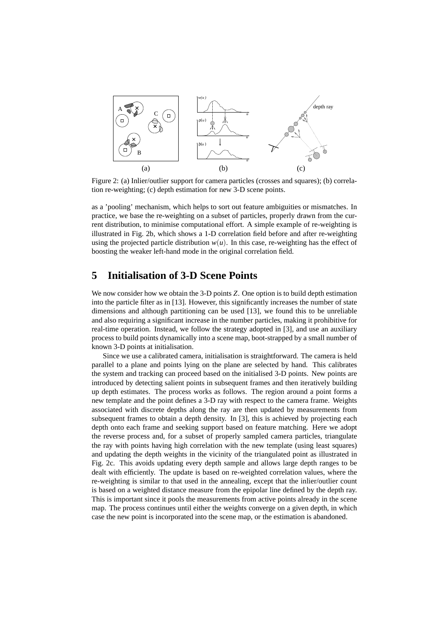

Figure 2: (a) Inlier/outlier support for camera particles (crosses and squares); (b) correlation re-weighting; (c) depth estimation for new 3-D scene points.

as a 'pooling' mechanism, which helps to sort out feature ambiguities or mismatches. In practice, we base the re-weighting on a subset of particles, properly drawn from the current distribution, to minimise computational effort. A simple example of re-weighting is illustrated in Fig. 2b, which shows a 1-D correlation field before and after re-weighting using the projected particle distribution  $w(u)$ . In this case, re-weighting has the effect of boosting the weaker left-hand mode in the original correlation field.

# **5 Initialisation of 3-D Scene Points**

We now consider how we obtain the 3-D points *Z*. One option is to build depth estimation into the particle filter as in [13]. However, this significantly increases the number of state dimensions and although partitioning can be used [13], we found this to be unreliable and also requiring a significant increase in the number particles, making it prohibitive for real-time operation. Instead, we follow the strategy adopted in [3], and use an auxiliary process to build points dynamically into a scene map, boot-strapped by a small number of known 3-D points at initialisation.

Since we use a calibrated camera, initialisation is straightforward. The camera is held parallel to a plane and points lying on the plane are selected by hand. This calibrates the system and tracking can proceed based on the initialised 3-D points. New points are introduced by detecting salient points in subsequent frames and then iteratively building up depth estimates. The process works as follows. The region around a point forms a new template and the point defines a 3-D ray with respect to the camera frame. Weights associated with discrete depths along the ray are then updated by measurements from subsequent frames to obtain a depth density. In [3], this is achieved by projecting each depth onto each frame and seeking support based on feature matching. Here we adopt the reverse process and, for a subset of properly sampled camera particles, triangulate the ray with points having high correlation with the new template (using least squares) and updating the depth weights in the vicinity of the triangulated point as illustrated in Fig. 2c. This avoids updating every depth sample and allows large depth ranges to be dealt with efficiently. The update is based on re-weighted correlation values, where the re-weighting is similar to that used in the annealing, except that the inlier/outlier count is based on a weighted distance measure from the epipolar line defined by the depth ray. This is important since it pools the measurements from active points already in the scene map. The process continues until either the weights converge on a given depth, in which case the new point is incorporated into the scene map, or the estimation is abandoned.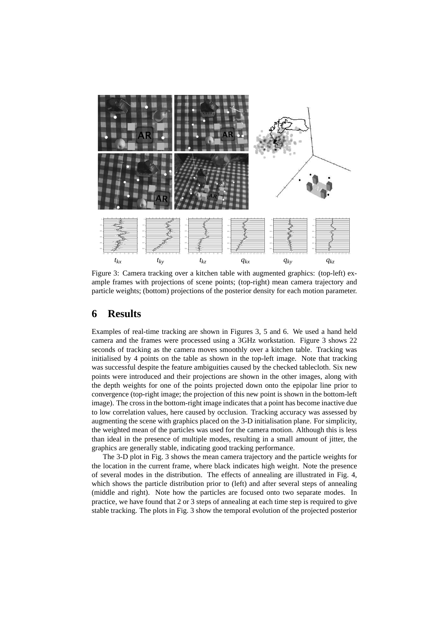

Figure 3: Camera tracking over a kitchen table with augmented graphics: (top-left) example frames with projections of scene points; (top-right) mean camera trajectory and particle weights; (bottom) projections of the posterior density for each motion parameter.

#### **6 Results**

Examples of real-time tracking are shown in Figures 3, 5 and 6. We used a hand held camera and the frames were processed using a 3GHz workstation. Figure 3 shows 22 seconds of tracking as the camera moves smoothly over a kitchen table. Tracking was initialised by 4 points on the table as shown in the top-left image. Note that tracking was successful despite the feature ambiguities caused by the checked tablecloth. Six new points were introduced and their projections are shown in the other images, along with the depth weights for one of the points projected down onto the epipolar line prior to convergence (top-right image; the projection of this new point is shown in the bottom-left image). The cross in the bottom-right image indicates that a point has become inactive due to low correlation values, here caused by occlusion. Tracking accuracy was assessed by augmenting the scene with graphics placed on the 3-D initialisation plane. For simplicity, the weighted mean of the particles was used for the camera motion. Although this is less than ideal in the presence of multiple modes, resulting in a small amount of jitter, the graphics are generally stable, indicating good tracking performance.

The 3-D plot in Fig. 3 shows the mean camera trajectory and the particle weights for the location in the current frame, where black indicates high weight. Note the presence of several modes in the distribution. The effects of annealing are illustrated in Fig. 4, which shows the particle distribution prior to (left) and after several steps of annealing (middle and right). Note how the particles are focused onto two separate modes. In practice, we have found that 2 or 3 steps of annealing at each time step is required to give stable tracking. The plots in Fig. 3 show the temporal evolution of the projected posterior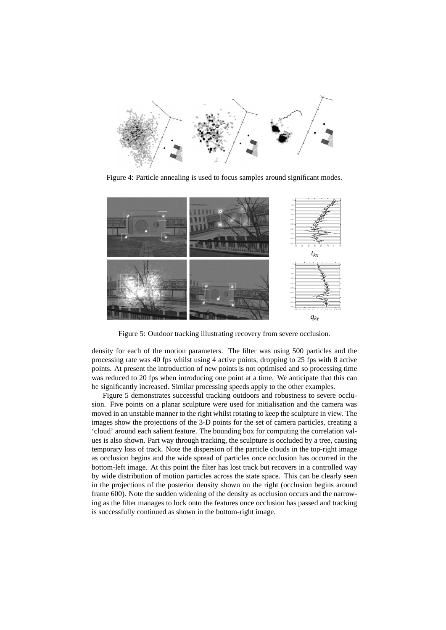

Figure 4: Particle annealing is used to focus samples around significant modes.



Figure 5: Outdoor tracking illustrating recovery from severe occlusion.

density for each of the motion parameters. The filter was using 500 particles and the processing rate was 40 fps whilst using 4 active points, dropping to 25 fps with 8 active points. At present the introduction of new points is not optimised and so processing time was reduced to 20 fps when introducing one point at a time. We anticipate that this can be significantly increased. Similar processing speeds apply to the other examples.

Figure 5 demonstrates successful tracking outdoors and robustness to severe occlusion. Five points on a planar sculpture were used for initialisation and the camera was moved in an unstable manner to the right whilst rotating to keep the sculpture in view. The images show the projections of the 3-D points for the set of camera particles, creating a 'cloud' around each salient feature. The bounding box for computing the correlation values is also shown. Part way through tracking, the sculpture is occluded by a tree, causing temporary loss of track. Note the dispersion of the particle clouds in the top-right image as occlusion begins and the wide spread of particles once occlusion has occurred in the bottom-left image. At this point the filter has lost track but recovers in a controlled way by wide distribution of motion particles across the state space. This can be clearly seen in the projections of the posterior density shown on the right (occlusion begins around frame 600). Note the sudden widening of the density as occlusion occurs and the narrowing as the filter manages to lock onto the features once occlusion has passed and tracking is successfully continued as shown in the bottom-right image.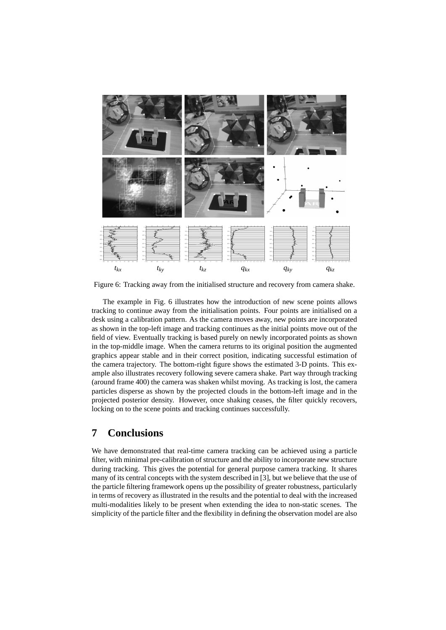

Figure 6: Tracking away from the initialised structure and recovery from camera shake.

The example in Fig. 6 illustrates how the introduction of new scene points allows tracking to continue away from the initialisation points. Four points are initialised on a desk using a calibration pattern. As the camera moves away, new points are incorporated as shown in the top-left image and tracking continues as the initial points move out of the field of view. Eventually tracking is based purely on newly incorporated points as shown in the top-middle image. When the camera returns to its original position the augmented graphics appear stable and in their correct position, indicating successful estimation of the camera trajectory. The bottom-right figure shows the estimated 3-D points. This example also illustrates recovery following severe camera shake. Part way through tracking (around frame 400) the camera was shaken whilst moving. As tracking is lost, the camera particles disperse as shown by the projected clouds in the bottom-left image and in the projected posterior density. However, once shaking ceases, the filter quickly recovers, locking on to the scene points and tracking continues successfully.

# **7 Conclusions**

We have demonstrated that real-time camera tracking can be achieved using a particle filter, with minimal pre-calibration of structure and the ability to incorporate new structure during tracking. This gives the potential for general purpose camera tracking. It shares many of its central concepts with the system described in [3], but we believe that the use of the particle filtering framework opens up the possibility of greater robustness, particularly in terms of recovery as illustrated in the results and the potential to deal with the increased multi-modalities likely to be present when extending the idea to non-static scenes. The simplicity of the particle filter and the flexibility in defining the observation model are also